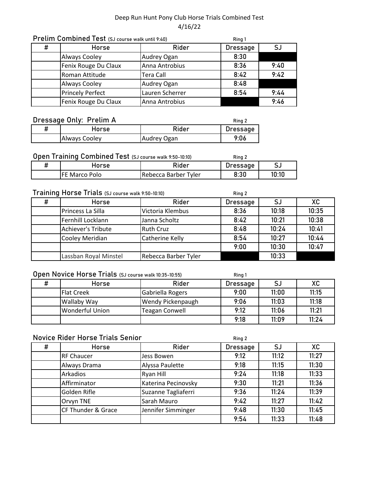|   | Prelim Combined Test (SJ course walk until 9:40) | Ring 1           |                 |      |
|---|--------------------------------------------------|------------------|-----------------|------|
| # | <b>Horse</b>                                     | Rider            | <b>Dressage</b> | SJ   |
|   | <b>Always Cooley</b>                             | Audrey Ogan      | 8:30            |      |
|   | Fenix Rouge Du Claux                             | Anna Antrobius   | 8:36            | 9:40 |
|   | Roman Attitude                                   | <b>Tera Call</b> | 8:42            | 9:42 |
|   | <b>Always Cooley</b>                             | Audrey Ogan      | 8:48            |      |
|   | <b>Princely Perfect</b>                          | Lauren Scherrer  | 8:54            | 9:44 |
|   | Fenix Rouge Du Claux                             | Anna Antrobius   |                 | 9:46 |

# Dressage Only: Prelim A

| Dressage Only: Prelim A | Ring 2        |                    |          |
|-------------------------|---------------|--------------------|----------|
|                         | Horse         | Rider              | Dressage |
|                         | Always Cooley | <b>Audrey Ogan</b> | 9:06     |

## Open Training Combined Test (SJ course walk 9:50-10:10)

| Open Training Combined Test (SJ course walk 9:50-10:10) |                |                      | Ring 2          |       |
|---------------------------------------------------------|----------------|----------------------|-----------------|-------|
|                                                         | Horse          | Rider                | <b>Dressage</b> |       |
|                                                         | IFE Marco Polo | Rebecca Barber Tyler | 8:30            | 10:10 |

### Training Horse Trials (SJ course walk 9:50-10:10)

| Training Horse Trials (SJ course walk 9:50-10:10) |                       |                      | Ring 2          |       |       |
|---------------------------------------------------|-----------------------|----------------------|-----------------|-------|-------|
| #                                                 | Horse                 | Rider                | <b>Dressage</b> | SJ    | XC    |
|                                                   | Princess La Silla     | Victoria Klembus     | 8:36            | 10:18 | 10:35 |
|                                                   | Fernhill Locklann     | Janna Scholtz        | 8:42            | 10:21 | 10:38 |
|                                                   | Achiever's Tribute    | <b>Ruth Cruz</b>     | 8:48            | 10:24 | 10:41 |
|                                                   | Cooley Meridian       | Catherine Kelly      | 8:54            | 10:27 | 10:44 |
|                                                   |                       |                      | 9:00            | 10:30 | 10:47 |
|                                                   | Lassban Royal Minstel | Rebecca Barber Tyler |                 | 10:33 |       |

### Open Novice Horse Trials (SJ course walk 10:35-10:55)

| Open Novice Horse Trials (SJ course walk 10:35-10:55) |                        |                          | Ring 1   |       |       |
|-------------------------------------------------------|------------------------|--------------------------|----------|-------|-------|
| #                                                     | Horse                  | Rider                    | Dressage | SJ    | XC    |
|                                                       | Flat Creek             | Gabriella Rogers         | 9:00     | 11:00 | 11:15 |
|                                                       | <b>Wallaby Way</b>     | <b>Wendy Pickenpaugh</b> | 9:06     | 11:03 | 11:18 |
|                                                       | <b>Wonderful Union</b> | <b>Teagan Conwell</b>    | 9:12     | 11:06 | 11:21 |
|                                                       |                        |                          | 9:18     | 11:09 | 11:24 |

## Novice Rider Horse Trials Senior

| ш |  |
|---|--|
|---|--|

| # | <b>Horse</b>       | Rider               | <b>Dressage</b> | SJ    | XC    |
|---|--------------------|---------------------|-----------------|-------|-------|
|   | <b>RF Chaucer</b>  | Jess Bowen          | 9:12            | 11:12 | 11:27 |
|   | Always Drama       | Alyssa Paulette     | 9:18            | 11:15 | 11:30 |
|   | Arkadios           | Ryan Hill           | 9:24            | 11:18 | 11:33 |
|   | Affirminator       | Katerina Pecinovsky | 9:30            | 11:21 | 11:36 |
|   | Golden Rifle       | Suzanne Tagliaferri | 9:36            | 11:24 | 11:39 |
|   | Orvyn TNE          | Sarah Mauro         | 9:42            | 11:27 | 11:42 |
|   | CF Thunder & Grace | Jennifer Simminger  | 9:48            | 11:30 | 11:45 |
|   |                    |                     | 9:54            | 11:33 | 11:48 |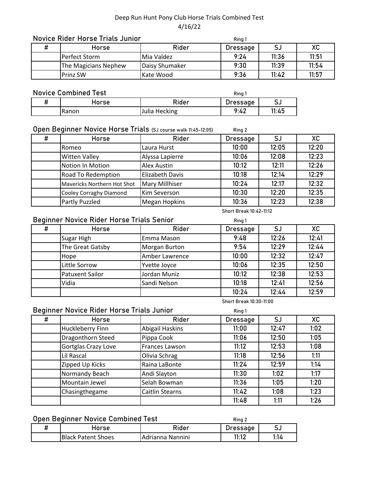### Novice Rider Horse Trials Junior

| Novice Rider Horse Trials Junior |                      |                     | Ring 1   |       |       |
|----------------------------------|----------------------|---------------------|----------|-------|-------|
| Ħ                                | Horse                | Rider               | Dressage | S.    | ХC    |
|                                  | Perfect Storm        | <b>I</b> Mia Valdez | 9:24     | 11:36 | 11:51 |
|                                  | The Magicians Nephew | Daisy Shumaker      | 9:30     | 11:39 | 11:54 |
|                                  | <b>Prinz SW</b>      | Kate Wood           | 9:36     | 11:42 | 11:57 |

### Novice Combined Test

| <b>Novice Combined Test</b> |       |                   | Ring |       |
|-----------------------------|-------|-------------------|------|-------|
|                             | Horse | Rider<br>Dressage |      |       |
|                             | Ranon | Julia Hecking     | 9:42 | 11:45 |

#### **Ring 2** Open Beginner Novice Horse Trials (SJ course walk 11:45-12:05)

| # | <b>Horse</b>                | Rider                  | <b>Dressage</b> | SJ    | XC    |
|---|-----------------------------|------------------------|-----------------|-------|-------|
|   | IRomeo                      | Laura Hurst            | 10:00           | 12:05 | 12:20 |
|   | <b>Witten Valley</b>        | Alyssa Lapierre        | 10:06           | 12:08 | 12:23 |
|   | Notion In Motion            | Alex Austin            | 10:12           | 12:11 | 12:26 |
|   | <b>Road To Redemption</b>   | <b>Elizabeth Davis</b> | 10:18           | 12:14 | 12:29 |
|   | Mavericks Northern Hot Shot | Mary Millhiser         | 10:24           | 12:17 | 12:32 |
|   | Cooley Corraghy Diamond     | Kim Severson           | 10:30           | 12:20 | 12:35 |
|   | Partly Puzzled              | Megan Hopkins          | 10:36           | 12:23 | 12:38 |

### Beginner Novice Rider Horse Trials Senior

| Beginner Novice Rider Horse Trials Senior |                  |                      | Ring 1          |       |       |
|-------------------------------------------|------------------|----------------------|-----------------|-------|-------|
| #                                         | Horse            | Rider                | <b>Dressage</b> | SJ    | XC    |
|                                           | Sugar High       | Emma Mason           | 9:48            | 12:26 | 12:41 |
|                                           | The Great Gatsby | <b>Morgan Burton</b> | 9:54            | 12:29 | 12:44 |
|                                           | Hope             | Amber Lawrence       | 10:00           | 12:32 | 12:47 |
|                                           | Little Sorrow    | Yvette Joyce         | 10:06           | 12:35 | 12:50 |
|                                           | Patuxent Sailor  | Jordan Muniz         | 10:12           | 12:38 | 12:53 |
|                                           | Vidia            | Sandi Nelson         | 10:18           | 12:41 | 12:56 |
|                                           |                  |                      | 10:24           | 12:44 | 12:59 |

#### **Short Break 10:30-11:00**

### Beginner Novice Rider Horse Trials Junior

| Beginner Novice Rider Horse Trials Junior |                     |                        | Ring 1          |       |      |
|-------------------------------------------|---------------------|------------------------|-----------------|-------|------|
| #                                         | Horse               | Rider                  | <b>Dressage</b> | SJ    | XC   |
|                                           | Huckleberry Finn    | <b>Abigail Haskins</b> | 11:00           | 12:47 | 1:02 |
|                                           | Dragonthorn Steed   | Pippa Cook             | 11:06           | 12:50 | 1:05 |
|                                           | Gortglas Crazy Love | Frances Lawson         | 11:12           | 12:53 | 1:08 |
|                                           | Lil Rascal          | Olivia Schrag          | 11:18           | 12:56 | 1:11 |
|                                           | Zipped Up Kicks     | Raina LaBonte          | 11:24           | 12:59 | 1:14 |
|                                           | Normandy Beach      | Andi Slayton           | 11:30           | 1:02  | 1:17 |
|                                           | Mountain Jewel      | Selah Bowman           | 11:36           | 1:05  | 1:20 |
|                                           | Chasingthegame      | <b>Caitlin Stearns</b> | 11:42           | 1:08  | 1:23 |
|                                           |                     |                        | 11:48           | 1:11  | 1:26 |

### Open Beginner Novice Combined Test

| Open Beginner Novice Combined Test |                           | Ring 2                   |          |      |
|------------------------------------|---------------------------|--------------------------|----------|------|
|                                    | Horse                     | Rider                    | Dressage |      |
|                                    | <b>Black Patent Shoes</b> | <b>IAdrianna Nannini</b> | 11:12    | 1:14 |

### **Short Break 10:42-11:12**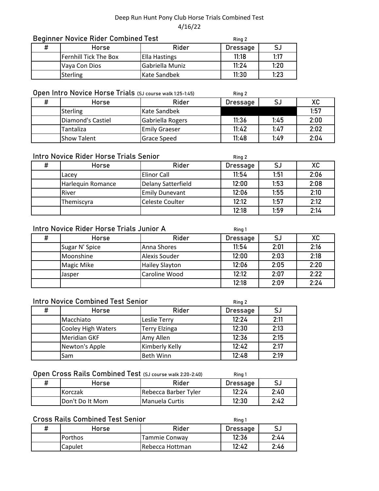| <b>Beginner Novice Rider Combined Test</b> |                              |                 | Ring 2          |      |
|--------------------------------------------|------------------------------|-----------------|-----------------|------|
| #                                          | Horse                        | Rider           | <b>Dressage</b> | S.   |
|                                            | <b>Fernhill Tick The Box</b> | Ella Hastings   | 11:18           | 1:17 |
|                                            | Vaya Con Dios                | Gabriella Muniz | 11:24           | 1:20 |
|                                            | <b>Sterling</b>              | Kate Sandbek    | 11:30           | 1:23 |

# Open Intro Novice Horse Trials (SJ course walk 1:25-1:45)

| # | Horse              | Rider                | Dressage |      | XC   |
|---|--------------------|----------------------|----------|------|------|
|   | <b>Sterling</b>    | Kate Sandbek         |          |      | 1:57 |
|   | Diamond's Castiel  | Gabriella Rogers     | 11:36    | 1.45 | 2:00 |
|   | Tantaliza          | <b>Emily Graeser</b> | 11:42    | 1.47 | 2:02 |
|   | <b>Show Talent</b> | Grace Speed          | 11:48    | 1.49 | 2:04 |

**Ring 2**

**Ring 2**

### Intro Novice Rider Horse Trials Senior

| # | Horse             | Rider                 | Dressage | SJ   | XC   |
|---|-------------------|-----------------------|----------|------|------|
|   | Lacey             | <b>Elinor Call</b>    | 11:54    | 1:51 | 2:06 |
|   | Harlequin Romance | Delany Satterfield    | 12:00    | 1:53 | 2:08 |
|   | River             | <b>Emily Dunevant</b> | 12:06    | 1:55 | 2:10 |
|   | Themiscyra        | Celeste Coulter       | 12:12    | 1:57 | 2:12 |
|   |                   |                       | 12:18    | 1:59 | 2:14 |

### Intro Novice Rider Horse Trials Junior A

|   | Intro Novice Rider Horse Trials Junior A |                       | Ring 1          |      |      |
|---|------------------------------------------|-----------------------|-----------------|------|------|
| # | Horse                                    | Rider                 | <b>Dressage</b> | SJ   | XC   |
|   | Sugar N' Spice                           | Anna Shores           | 11:54           | 2:01 | 2:16 |
|   | Moonshine                                | <b>Alexis Souder</b>  | 12:00           | 2:03 | 2:18 |
|   | Magic Mike                               | <b>Hailey Slayton</b> | 12:06           | 2:05 | 2:20 |
|   | Jasper                                   | Caroline Wood         | 12:12           | 2:07 | 2:22 |
|   |                                          |                       | 12:18           | 2:09 | 2:24 |

### Intro Novice Combined Test Senior

| # | <b>Horse</b>              | Rider                | Dressage |      |
|---|---------------------------|----------------------|----------|------|
|   | Macchiato                 | Leslie Terry         | 12:24    | 2:11 |
|   | <b>Cooley High Waters</b> | <b>Terry Elzinga</b> | 12:30    | 2:13 |
|   | Meridian GKF              | Amy Allen            | 12:36    | 2:15 |
|   | Newton's Apple            | Kimberly Kelly       | 12:42    | 2:17 |
|   | Sam                       | <b>Beth Winn</b>     | 12:48    | 2:19 |

# Open Cross Rails Combined Test (SJ course walk 2:20-2:40)

| Horse                    | Rider                   | Dressage |      |
|--------------------------|-------------------------|----------|------|
| <b>IKorczak</b>          | lRebecca Barber Tvler   | 12:24    | 2:40 |
| <b>I</b> Don't Do It Mom | <b>I</b> Manuela Curtis | 12:30    | 2:42 |

# Cross Rails Combined Test Senior

| Horse   | Rider            | Dressage |      |
|---------|------------------|----------|------|
| Porthos | Tammie Conway    | 12:36    | 2:44 |
| Capulet | IRebecca Hottman | 12:42    | 2:46 |

**Ring 1**

**Ring 1**

**Ring 2**